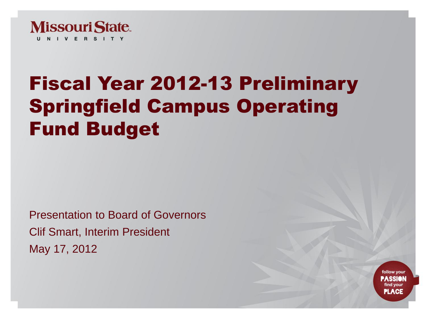

# Fiscal Year 2012-13 Preliminary Springfield Campus Operating Fund Budget

Presentation to Board of Governors Clif Smart, Interim President May 17, 2012

> follow your **ASSIO** find your **PLACE**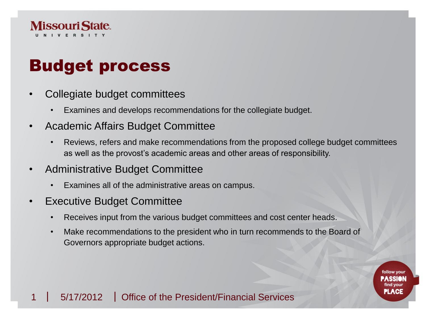

### Budget process

- Collegiate budget committees
	- Examines and develops recommendations for the collegiate budget.
- Academic Affairs Budget Committee
	- Reviews, refers and make recommendations from the proposed college budget committees as well as the provost's academic areas and other areas of responsibility.
- Administrative Budget Committee
	- Examines all of the administrative areas on campus.
- **Executive Budget Committee** 
	- Receives input from the various budget committees and cost center heads.
	- Make recommendations to the president who in turn recommends to the Board of Governors appropriate budget actions.

PLACE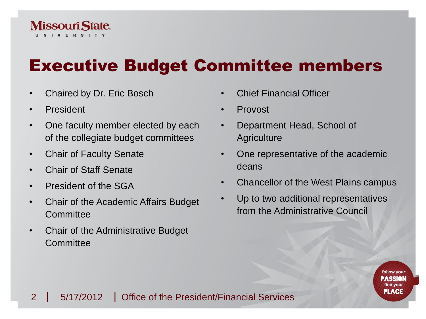

### Executive Budget Committee members

- Chaired by Dr. Eric Bosch
- President
- One faculty member elected by each of the collegiate budget committees
- Chair of Faculty Senate
- Chair of Staff Senate
- President of the SGA
- Chair of the Academic Affairs Budget **Committee**
- Chair of the Administrative Budget **Committee**
- Chief Financial Officer
- Provost
- Department Head, School of **Agriculture**
- One representative of the academic deans
- Chancellor of the West Plains campus

PLACE

Up to two additional representatives from the Administrative Council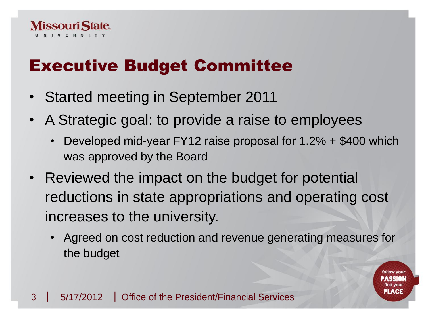

### Executive Budget Committee

- Started meeting in September 2011
- A Strategic goal: to provide a raise to employees
	- Developed mid-year FY12 raise proposal for 1.2% + \$400 which was approved by the Board
- Reviewed the impact on the budget for potential reductions in state appropriations and operating cost increases to the university.
	- Agreed on cost reduction and revenue generating measures for the budget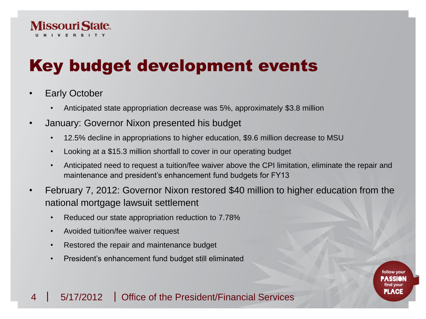

## Key budget development events

- **Early October** 
	- Anticipated state appropriation decrease was 5%, approximately \$3.8 million
- January: Governor Nixon presented his budget
	- 12.5% decline in appropriations to higher education, \$9.6 million decrease to MSU
	- Looking at a \$15.3 million shortfall to cover in our operating budget
	- Anticipated need to request a tuition/fee waiver above the CPI limitation, eliminate the repair and maintenance and president's enhancement fund budgets for FY13
- February 7, 2012: Governor Nixon restored \$40 million to higher education from the national mortgage lawsuit settlement
	- Reduced our state appropriation reduction to 7.78%
	- Avoided tuition/fee waiver request
	- Restored the repair and maintenance budget
	- President's enhancement fund budget still eliminated

### 4 | 5/17/2012 | Office of the President/Financial Services

PLACE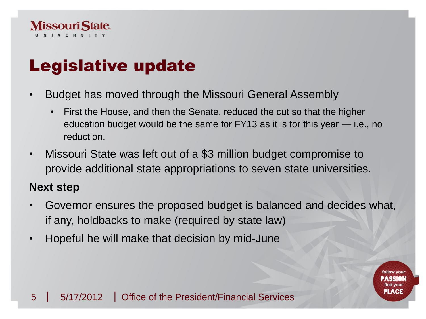

### Legislative update

- Budget has moved through the Missouri General Assembly
	- First the House, and then the Senate, reduced the cut so that the higher education budget would be the same for FY13 as it is for this year — i.e., no reduction.
- Missouri State was left out of a \$3 million budget compromise to provide additional state appropriations to seven state universities.

### **Next step**

• Governor ensures the proposed budget is balanced and decides what, if any, holdbacks to make (required by state law)

**PLACE** 

• Hopeful he will make that decision by mid-June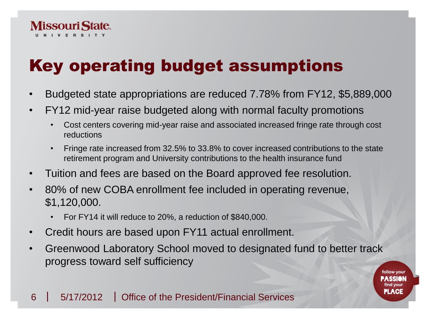

## Key operating budget assumptions

- Budgeted state appropriations are reduced 7.78% from FY12, \$5,889,000
- FY12 mid-year raise budgeted along with normal faculty promotions
	- Cost centers covering mid-year raise and associated increased fringe rate through cost reductions
	- Fringe rate increased from 32.5% to 33.8% to cover increased contributions to the state retirement program and University contributions to the health insurance fund
- Tuition and fees are based on the Board approved fee resolution.
- 80% of new COBA enrollment fee included in operating revenue, \$1,120,000.
	- For FY14 it will reduce to 20%, a reduction of \$840,000.
- Credit hours are based upon FY11 actual enrollment.
- Greenwood Laboratory School moved to designated fund to better track progress toward self sufficiency

follow you

**PLACE**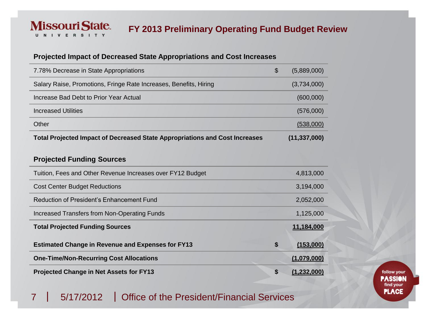#### **FY 2013 Preliminary Operating Fund Budget Review**

#### **Projected Impact of Decreased State Appropriations and Cost Increases**

| 7.78% Decrease in State Appropriations                                             | \$<br>(5,889,000) |
|------------------------------------------------------------------------------------|-------------------|
| Salary Raise, Promotions, Fringe Rate Increases, Benefits, Hiring                  | (3,734,000)       |
| Increase Bad Debt to Prior Year Actual                                             | (600,000)         |
| Increased Utilities                                                                | (576,000)         |
| Other                                                                              | (538,000)         |
| <b>Total Projected Impact of Decreased State Appropriations and Cost Increases</b> | (11, 337, 000)    |

#### **Projected Funding Sources**

**Missouri State.** I V E R S I T Y

U

| Tuition, Fees and Other Revenue Increases over FY12 Budget | 4,813,000         |
|------------------------------------------------------------|-------------------|
| <b>Cost Center Budget Reductions</b>                       | 3,194,000         |
| Reduction of President's Enhancement Fund                  | 2,052,000         |
| Increased Transfers from Non-Operating Funds               | 1,125,000         |
| <b>Total Projected Funding Sources</b>                     | 11,184,000        |
| <b>Estimated Change in Revenue and Expenses for FY13</b>   | \$<br>(153,000)   |
| <b>One-Time/Non-Recurring Cost Allocations</b>             | (1,079,000)       |
| <b>Projected Change in Net Assets for FY13</b>             | \$<br>(1,232,000) |

7 | 5/17/2012 | Office of the President/Financial Services

follow your **PASSION** find your **PLACE**